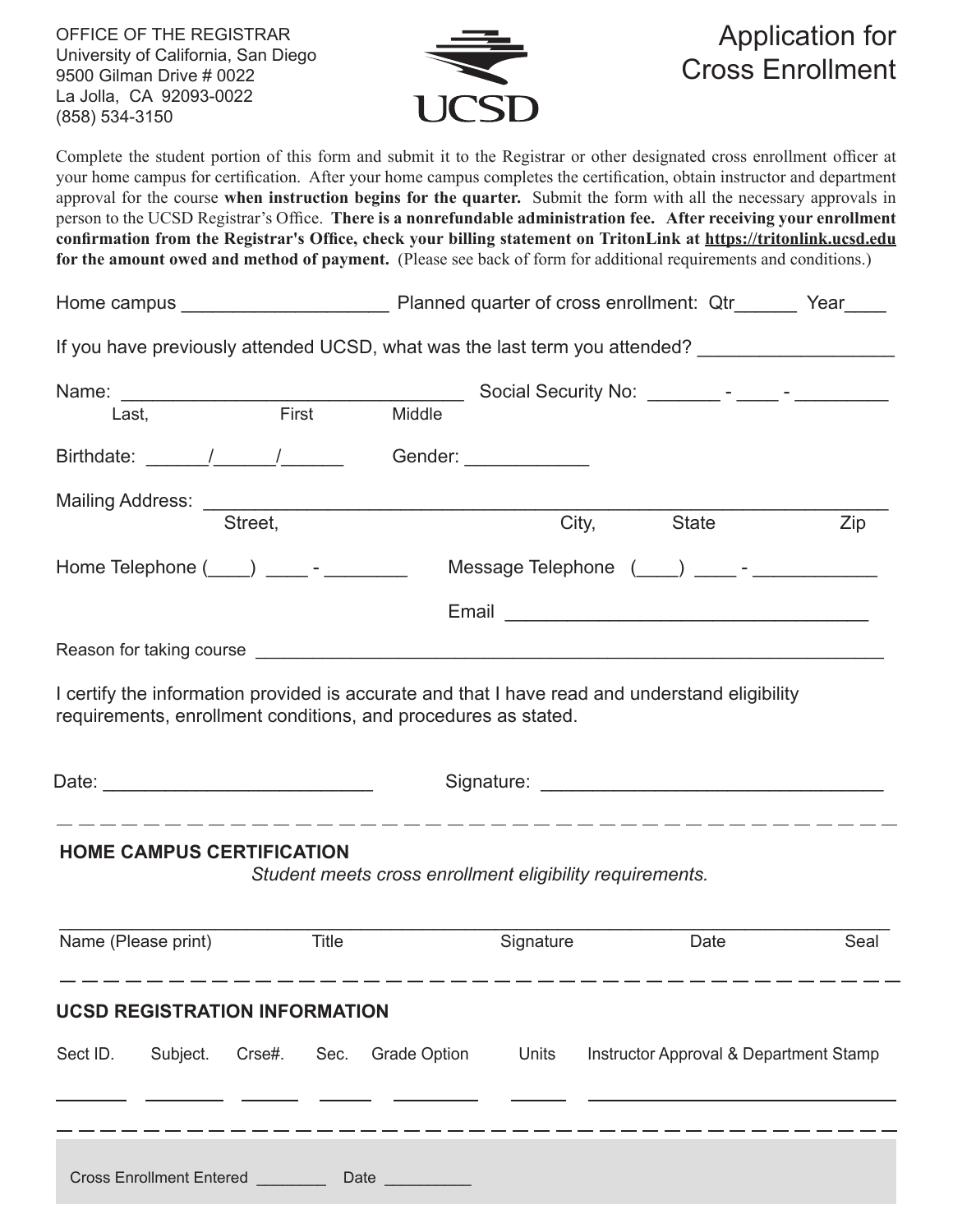OFFICE OF THE REGISTRAR University of California, San Diego 9500 Gilman Drive # 0022 La Jolla, CA 92093-0022 (858) 534-3150



# Application for Cross Enrollment

Complete the student portion of this form and submit it to the Registrar or other designated cross enrollment officer at your home campus for certification. After your home campus completes the certification, obtain instructor and department approval for the course **when instruction begins for the quarter.** Submit the form with all the necessary approvals in person to the UCSD Registrar's Office. **There is a nonrefundable administration fee. After receiving your enrollment confirmation from the Registrar's Office, check your billing statement on TritonLink at https://tritonlink.ucsd.edu for the amount owed and method of payment.** (Please see back of form for additional requirements and conditions.)

|                                                                                                                                                                  |                                                          | Planned quarter of cross enrollment: Qtr_______ Year____ |           |       |                                               |      |
|------------------------------------------------------------------------------------------------------------------------------------------------------------------|----------------------------------------------------------|----------------------------------------------------------|-----------|-------|-----------------------------------------------|------|
| If you have previously attended UCSD, what was the last term you attended?                                                                                       |                                                          |                                                          |           |       |                                               |      |
|                                                                                                                                                                  |                                                          |                                                          |           |       |                                               |      |
| Last,                                                                                                                                                            | First                                                    | Middle                                                   |           |       |                                               |      |
| Birthdate: / /                                                                                                                                                   |                                                          | Gender: ______________                                   |           |       |                                               |      |
|                                                                                                                                                                  |                                                          |                                                          |           |       |                                               |      |
|                                                                                                                                                                  | Street,                                                  |                                                          |           | City, | State                                         | Zip  |
| Home Telephone $(\_\_\_)$ $\_\_\_$ - $\_\_\_\_$                                                                                                                  |                                                          |                                                          |           |       |                                               |      |
|                                                                                                                                                                  |                                                          |                                                          |           |       | Email <u>________________________________</u> |      |
|                                                                                                                                                                  |                                                          |                                                          |           |       |                                               |      |
| I certify the information provided is accurate and that I have read and understand eligibility<br>requirements, enrollment conditions, and procedures as stated. |                                                          |                                                          |           |       |                                               |      |
|                                                                                                                                                                  |                                                          |                                                          |           |       |                                               |      |
| <b>HOME CAMPUS CERTIFICATION</b>                                                                                                                                 | Student meets cross enrollment eligibility requirements. |                                                          |           |       |                                               |      |
| Name (Please print)                                                                                                                                              | <b>Title</b>                                             |                                                          | Signature |       | Date                                          | Seal |
| <b>UCSD REGISTRATION INFORMATION</b>                                                                                                                             |                                                          |                                                          |           |       |                                               |      |
| Sect ID.<br>Subject.                                                                                                                                             | Crse#.<br>Sec.                                           | <b>Grade Option</b>                                      | Units     |       | Instructor Approval & Department Stamp        |      |
|                                                                                                                                                                  |                                                          |                                                          |           |       |                                               |      |
| <b>Cross Enrollment Entered</b>                                                                                                                                  | Date                                                     |                                                          |           |       |                                               |      |